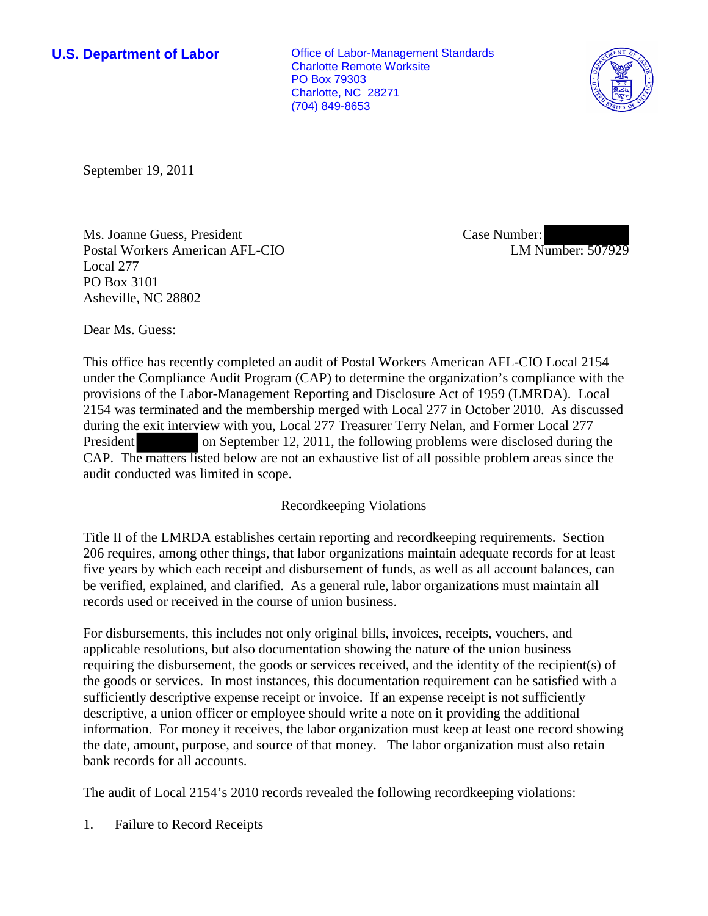**U.S. Department of Labor Office of Labor-Management Standards** Charlotte Remote Worksite PO Box 79303 Charlotte, NC 28271 (704) 849-8653



September 19, 2011

Ms. Joanne Guess, President Postal Workers American AFL-CIO Local 277 PO Box 3101 Asheville, NC 28802

Case Number: LM Number: 507929

Dear Ms. Guess:

This office has recently completed an audit of Postal Workers American AFL-CIO Local 2154 under the Compliance Audit Program (CAP) to determine the organization's compliance with the provisions of the Labor-Management Reporting and Disclosure Act of 1959 (LMRDA). Local 2154 was terminated and the membership merged with Local 277 in October 2010. As discussed during the exit interview with you, Local 277 Treasurer Terry Nelan, and Former Local 277 President on September 12, 2011, the following problems were disclosed during the CAP. The matters listed below are not an exhaustive list of all possible problem areas since the audit conducted was limited in scope.

## Recordkeeping Violations

Title II of the LMRDA establishes certain reporting and recordkeeping requirements. Section 206 requires, among other things, that labor organizations maintain adequate records for at least five years by which each receipt and disbursement of funds, as well as all account balances, can be verified, explained, and clarified. As a general rule, labor organizations must maintain all records used or received in the course of union business.

For disbursements, this includes not only original bills, invoices, receipts, vouchers, and applicable resolutions, but also documentation showing the nature of the union business requiring the disbursement, the goods or services received, and the identity of the recipient(s) of the goods or services. In most instances, this documentation requirement can be satisfied with a sufficiently descriptive expense receipt or invoice. If an expense receipt is not sufficiently descriptive, a union officer or employee should write a note on it providing the additional information. For money it receives, the labor organization must keep at least one record showing the date, amount, purpose, and source of that money. The labor organization must also retain bank records for all accounts.

The audit of Local 2154's 2010 records revealed the following recordkeeping violations:

1. Failure to Record Receipts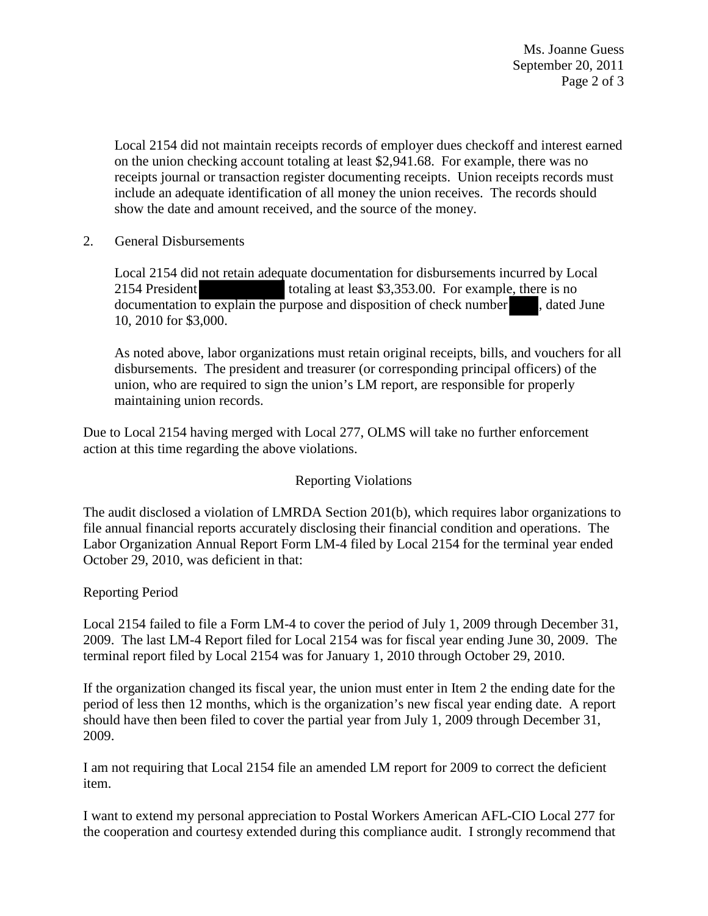Ms. Joanne Guess September 20, 2011 Page 2 of 3

Local 2154 did not maintain receipts records of employer dues checkoff and interest earned on the union checking account totaling at least \$2,941.68. For example, there was no receipts journal or transaction register documenting receipts. Union receipts records must include an adequate identification of all money the union receives. The records should show the date and amount received, and the source of the money.

2. General Disbursements

Local 2154 did not retain adequate documentation for disbursements incurred by Local 2154 President totaling at least \$3,353.00. For example, there is no documentation to explain the purpose and disposition of check number , dated June 10, 2010 for \$3,000.

As noted above, labor organizations must retain original receipts, bills, and vouchers for all disbursements. The president and treasurer (or corresponding principal officers) of the union, who are required to sign the union's LM report, are responsible for properly maintaining union records.

Due to Local 2154 having merged with Local 277, OLMS will take no further enforcement action at this time regarding the above violations.

## Reporting Violations

The audit disclosed a violation of LMRDA Section 201(b), which requires labor organizations to file annual financial reports accurately disclosing their financial condition and operations. The Labor Organization Annual Report Form LM-4 filed by Local 2154 for the terminal year ended October 29, 2010, was deficient in that:

## Reporting Period

Local 2154 failed to file a Form LM-4 to cover the period of July 1, 2009 through December 31, 2009. The last LM-4 Report filed for Local 2154 was for fiscal year ending June 30, 2009. The terminal report filed by Local 2154 was for January 1, 2010 through October 29, 2010.

If the organization changed its fiscal year, the union must enter in Item 2 the ending date for the period of less then 12 months, which is the organization's new fiscal year ending date. A report should have then been filed to cover the partial year from July 1, 2009 through December 31, 2009.

I am not requiring that Local 2154 file an amended LM report for 2009 to correct the deficient item.

I want to extend my personal appreciation to Postal Workers American AFL-CIO Local 277 for the cooperation and courtesy extended during this compliance audit. I strongly recommend that